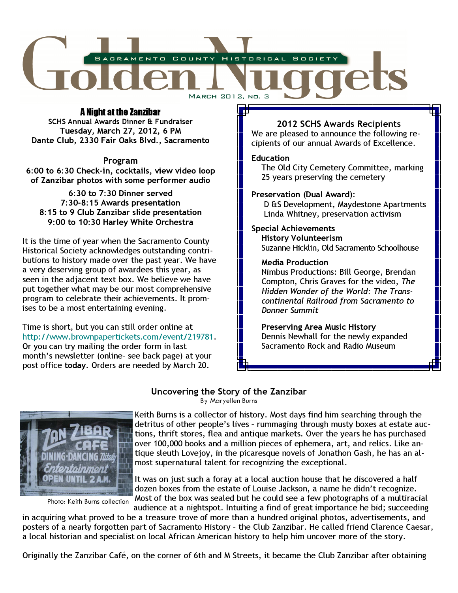

# A Night at the Zanzibar

SCHS Annual Awards Dinner & Fundraiser Tuesday, March 27, 2012, 6 PM Dante Club, 2330 Fair Oaks Blvd., Sacramento

Program 6:00 to 6:30 Check-in, cocktails, view video loop of Zanzibar photos with some performer audio

6:30 to 7:30 Dinner served 7:30-8:15 Awards presentation 8:15 to 9 Club Zanzibar slide presentation 9:00 to 10:30 Harley White Orchestra

It is the time of year when the Sacramento County Historical Society acknowledges outstanding contributions to history made over the past year. We have a very deserving group of awardees this year, as seen in the adjacent text box. We believe we have put together what may be our most comprehensive program to celebrate their achievements. It promises to be a most entertaining evening.

Time is short, but you can still order online at http://www.brownpapertickets.com/event/219781. Or you can try mailing the order form in last month's newsletter (online– see back page) at your post office today. Orders are needed by March 20.

# 2012 SCHS Awards Recipients

We are pleased to announce the following recipients of our annual Awards of Excellence.

## **Education**

 The Old City Cemetery Committee, marking 25 years preserving the cemetery

# Preservation (Dual Award):

 D &S Development, Maydestone Apartments Linda Whitney, preservation activism

## Special Achievements

 History Volunteerism Suzanne Hicklin, Old Sacramento Schoolhouse

## Media Production

 Nimbus Productions: Bill George, Brendan Compton, Chris Graves for the video, The Hidden Wonder of the World: The Trans continental Railroad from Sacramento to Donner Summit

 Preserving Area Music History Dennis Newhall for the newly expanded Sacramento Rock and Radio Museum

# Uncovering the Story of the Zanzibar

By Maryellen Burns



Photo: Keith Burns collection

Keith Burns is a collector of history. Most days find him searching through the detritus of other people's lives – rummaging through musty boxes at estate auctions, thrift stores, flea and antique markets. Over the years he has purchased over 100,000 books and a million pieces of ephemera, art, and relics. Like antique sleuth Lovejoy, in the picaresque novels of Jonathon Gash, he has an almost supernatural talent for recognizing the exceptional.

It was on just such a foray at a local auction house that he discovered a half dozen boxes from the estate of Louise Jackson, a name he didn't recognize. Most of the box was sealed but he could see a few photographs of a multiracial

audience at a nightspot. Intuiting a find of great importance he bid; succeeding in acquiring what proved to be a treasure trove of more than a hundred original photos, advertisements, and posters of a nearly forgotten part of Sacramento History – the Club Zanzibar. He called friend Clarence Caesar, a local historian and specialist on local African American history to help him uncover more of the story.

Originally the Zanzibar Café, on the corner of 6th and M Streets, it became the Club Zanzibar after obtaining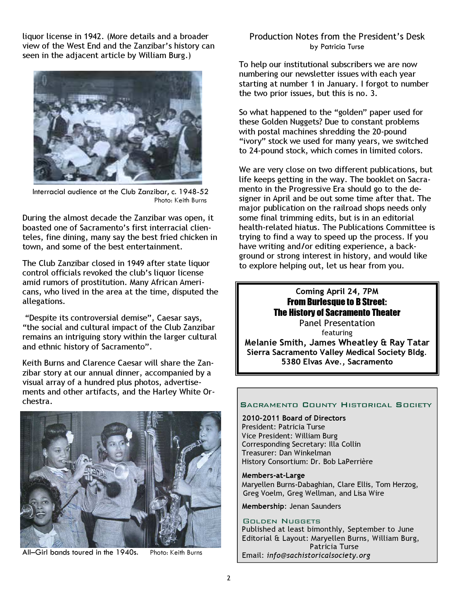liquor license in 1942. (More details and a broader view of the West End and the Zanzibar's history can seen in the adjacent article by William Burg.)



Interracial audience at the Club Zanzibar, c. 1948-52 Photo: Keith Burns

During the almost decade the Zanzibar was open, it boasted one of Sacramento's first interracial clienteles, fine dining, many say the best fried chicken in town, and some of the best entertainment.

The Club Zanzibar closed in 1949 after state liquor control officials revoked the club's liquor license amid rumors of prostitution. Many African Americans, who lived in the area at the time, disputed the allegations.

 "Despite its controversial demise", Caesar says, "the social and cultural impact of the Club Zanzibar remains an intriguing story within the larger cultural and ethnic history of Sacramento".

Keith Burns and Clarence Caesar will share the Zanzibar story at our annual dinner, accompanied by a visual array of a hundred plus photos, advertisements and other artifacts, and the Harley White Orchestra.



All–Girl bands toured in the 1940s. Photo: Keith Burns

Production Notes from the President's Desk by Patricia Turse

To help our institutional subscribers we are now numbering our newsletter issues with each year starting at number 1 in January. I forgot to number the two prior issues, but this is no. 3.

So what happened to the "golden" paper used for these Golden Nuggets? Due to constant problems with postal machines shredding the 20-pound "ivory" stock we used for many years, we switched to 24-pound stock, which comes in limited colors.

We are very close on two different publications, but life keeps getting in the way. The booklet on Sacramento in the Progressive Era should go to the designer in April and be out some time after that. The major publication on the railroad shops needs only some final trimming edits, but is in an editorial health-related hiatus. The Publications Committee is trying to find a way to speed up the process. If you have writing and/or editing experience, a background or strong interest in history, and would like to explore helping out, let us hear from you.

> Coming April 24, 7PM From Burlesque to B Street: The History of Sacramento Theater Panel Presentation

featuring Melanie Smith, James Wheatley & Ray Tatar Sierra Sacramento Valley Medical Society Bldg. 5380 Elvas Ave., Sacramento

### **SACRAMENTO COUNTY HISTORICAL SOCIETY**

2010-2011 Board of Directors President: Patricia Turse Vice President: William Burg Corresponding Secretary: Illa Collin Treasurer: Dan Winkelman History Consortium: Dr. Bob LaPerrière

Members-at-Large Maryellen Burns-Dabaghian, Clare Ellis, Tom Herzog, Greg Voelm, Greg Wellman, and Lisa Wire

Membership: Jenan Saunders

### GOLDEN NUGGETS

Published at least bimonthly, September to June Editorial & Layout: Maryellen Burns, William Burg, Patricia Turse Email: info@sachistoricalsociety.org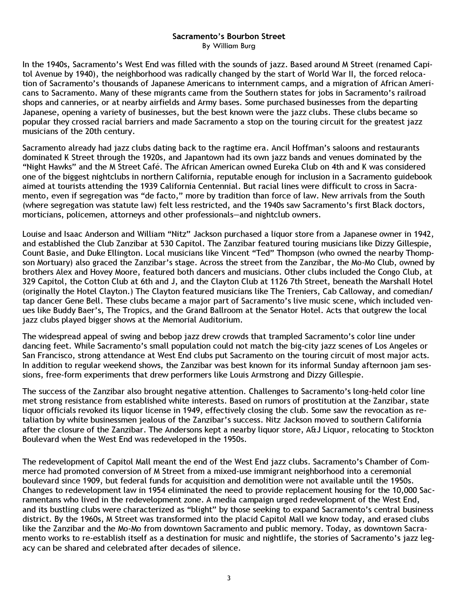## Sacramento's Bourbon Street By William Burg

In the 1940s, Sacramento's West End was filled with the sounds of jazz. Based around M Street (renamed Capitol Avenue by 1940), the neighborhood was radically changed by the start of World War II, the forced relocation of Sacramento's thousands of Japanese Americans to internment camps, and a migration of African Americans to Sacramento. Many of these migrants came from the Southern states for jobs in Sacramento's railroad shops and canneries, or at nearby airfields and Army bases. Some purchased businesses from the departing Japanese, opening a variety of businesses, but the best known were the jazz clubs. These clubs became so popular they crossed racial barriers and made Sacramento a stop on the touring circuit for the greatest jazz musicians of the 20th century.

Sacramento already had jazz clubs dating back to the ragtime era. Ancil Hoffman's saloons and restaurants dominated K Street through the 1920s, and Japantown had its own jazz bands and venues dominated by the "Night Hawks" and the M Street Café. The African American owned Eureka Club on 4th and K was considered one of the biggest nightclubs in northern California, reputable enough for inclusion in a Sacramento guidebook aimed at tourists attending the 1939 California Centennial. But racial lines were difficult to cross in Sacramento, even if segregation was "de facto," more by tradition than force of law. New arrivals from the South (where segregation was statute law) felt less restricted, and the 1940s saw Sacramento's first Black doctors, morticians, policemen, attorneys and other professionals—and nightclub owners.

Louise and Isaac Anderson and William "Nitz" Jackson purchased a liquor store from a Japanese owner in 1942, and established the Club Zanzibar at 530 Capitol. The Zanzibar featured touring musicians like Dizzy Gillespie, Count Basie, and Duke Ellington. Local musicians like Vincent "Ted" Thompson (who owned the nearby Thompson Mortuary) also graced the Zanzibar's stage. Across the street from the Zanzibar, the Mo-Mo Club, owned by brothers Alex and Hovey Moore, featured both dancers and musicians. Other clubs included the Congo Club, at 329 Capitol, the Cotton Club at 6th and J, and the Clayton Club at 1126 7th Street, beneath the Marshall Hotel (originally the Hotel Clayton.) The Clayton featured musicians like The Treniers, Cab Calloway, and comedian/ tap dancer Gene Bell. These clubs became a major part of Sacramento's live music scene, which included venues like Buddy Baer's, The Tropics, and the Grand Ballroom at the Senator Hotel. Acts that outgrew the local jazz clubs played bigger shows at the Memorial Auditorium.

The widespread appeal of swing and bebop jazz drew crowds that trampled Sacramento's color line under dancing feet. While Sacramento's small population could not match the big-city jazz scenes of Los Angeles or San Francisco, strong attendance at West End clubs put Sacramento on the touring circuit of most major acts. In addition to regular weekend shows, the Zanzibar was best known for its informal Sunday afternoon jam sessions, free-form experiments that drew performers like Louis Armstrong and Dizzy Gillespie.

The success of the Zanzibar also brought negative attention. Challenges to Sacramento's long-held color line met strong resistance from established white interests. Based on rumors of prostitution at the Zanzibar, state liquor officials revoked its liquor license in 1949, effectively closing the club. Some saw the revocation as retaliation by white businessmen jealous of the Zanzibar's success. Nitz Jackson moved to southern California after the closure of the Zanzibar. The Andersons kept a nearby liquor store, A&J Liquor, relocating to Stockton Boulevard when the West End was redeveloped in the 1950s.

The redevelopment of Capitol Mall meant the end of the West End jazz clubs. Sacramento's Chamber of Commerce had promoted conversion of M Street from a mixed-use immigrant neighborhood into a ceremonial boulevard since 1909, but federal funds for acquisition and demolition were not available until the 1950s. Changes to redevelopment law in 1954 eliminated the need to provide replacement housing for the 10,000 Sacramentans who lived in the redevelopment zone. A media campaign urged redevelopment of the West End, and its bustling clubs were characterized as "blight" by those seeking to expand Sacramento's central business district. By the 1960s, M Street was transformed into the placid Capitol Mall we know today, and erased clubs like the Zanzibar and the Mo-Mo from downtown Sacramento and public memory. Today, as downtown Sacramento works to re-establish itself as a destination for music and nightlife, the stories of Sacramento's jazz legacy can be shared and celebrated after decades of silence.